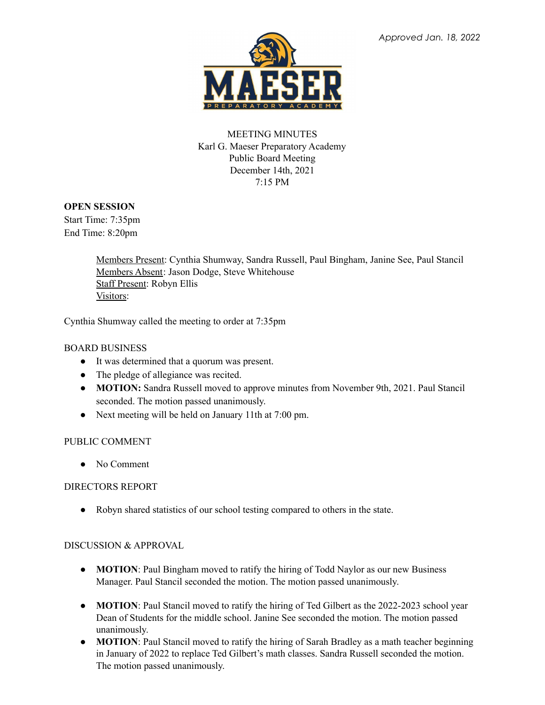

# MEETING MINUTES Karl G. Maeser Preparatory Academy Public Board Meeting December 14th, 2021 7:15 PM

### **OPEN SESSION**

Start Time: 7:35pm End Time: 8:20pm

> Members Present: Cynthia Shumway, Sandra Russell, Paul Bingham, Janine See, Paul Stancil Members Absent: Jason Dodge, Steve Whitehouse Staff Present: Robyn Ellis Visitors:

Cynthia Shumway called the meeting to order at 7:35pm

# BOARD BUSINESS

- It was determined that a quorum was present.
- The pledge of allegiance was recited.
- **MOTION:** Sandra Russell moved to approve minutes from November 9th, 2021. Paul Stancil seconded. The motion passed unanimously.
- Next meeting will be held on January 11th at 7:00 pm.

#### PUBLIC COMMENT

• No Comment

#### DIRECTORS REPORT

● Robyn shared statistics of our school testing compared to others in the state.

#### DISCUSSION & APPROVAL

- **MOTION**: Paul Bingham moved to ratify the hiring of Todd Naylor as our new Business Manager. Paul Stancil seconded the motion. The motion passed unanimously.
- **MOTION**: Paul Stancil moved to ratify the hiring of Ted Gilbert as the 2022-2023 school year Dean of Students for the middle school. Janine See seconded the motion. The motion passed unanimously.
- **MOTION**: Paul Stancil moved to ratify the hiring of Sarah Bradley as a math teacher beginning in January of 2022 to replace Ted Gilbert's math classes. Sandra Russell seconded the motion. The motion passed unanimously.